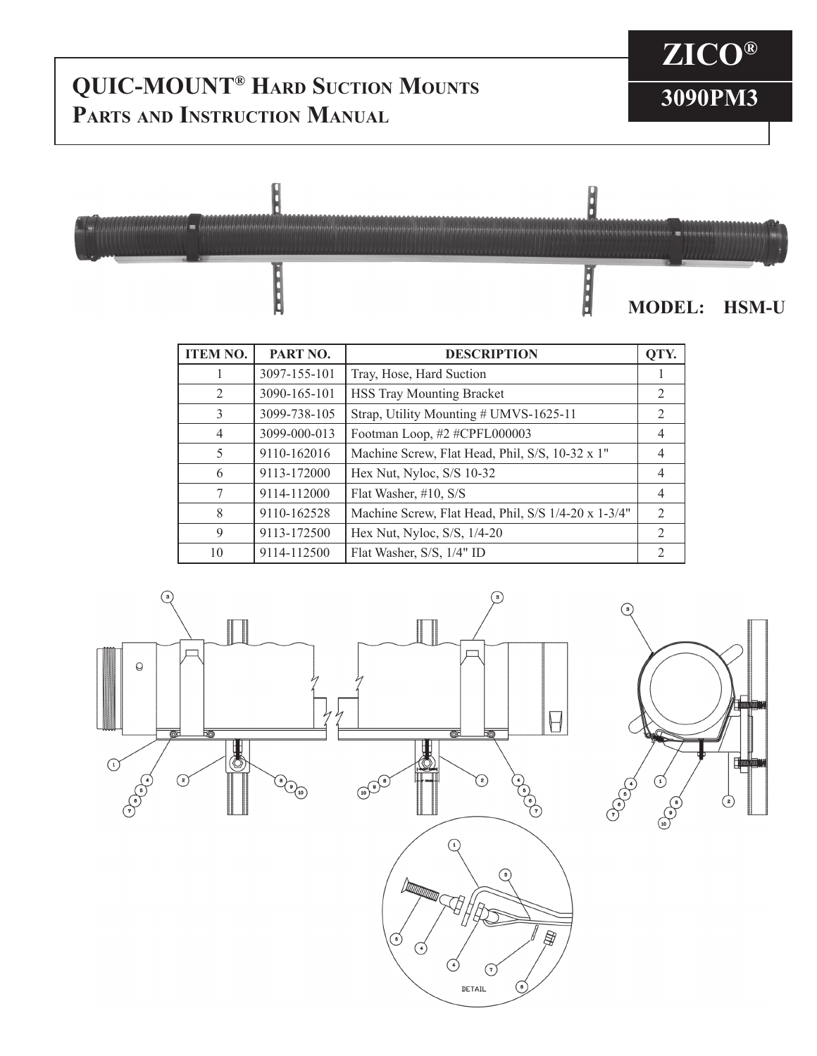## **QUIC-MOUNT<sup>®</sup> Hard Suction Mounts**<br> **B Parts and Instruction Manual**

## **ZICO®**



| <b>ITEM NO.</b> | PART NO.     | <b>DESCRIPTION</b>                                  |                |
|-----------------|--------------|-----------------------------------------------------|----------------|
|                 | 3097-155-101 | Tray, Hose, Hard Suction                            |                |
| 2               | 3090-165-101 | <b>HSS Tray Mounting Bracket</b>                    | 2              |
| 3               | 3099-738-105 | Strap, Utility Mounting # UMVS-1625-11              | 2              |
| $\overline{4}$  | 3099-000-013 | Footman Loop, #2 #CPFL000003                        | 4              |
| 5               | 9110-162016  | Machine Screw, Flat Head, Phil, S/S, 10-32 x 1"     | 4              |
| 6               | 9113-172000  | Hex Nut, Nyloc, S/S 10-32                           | $\overline{4}$ |
| 7               | 9114-112000  | Flat Washer, #10, S/S                               | $\overline{4}$ |
| 8               | 9110-162528  | Machine Screw, Flat Head, Phil, S/S 1/4-20 x 1-3/4" | $\mathcal{L}$  |
| 9               | 9113-172500  | Hex Nut, Nyloc, S/S, 1/4-20                         | 2              |
| 10              | 9114-112500  | Flat Washer, S/S, 1/4" ID                           | $\mathfrak{D}$ |



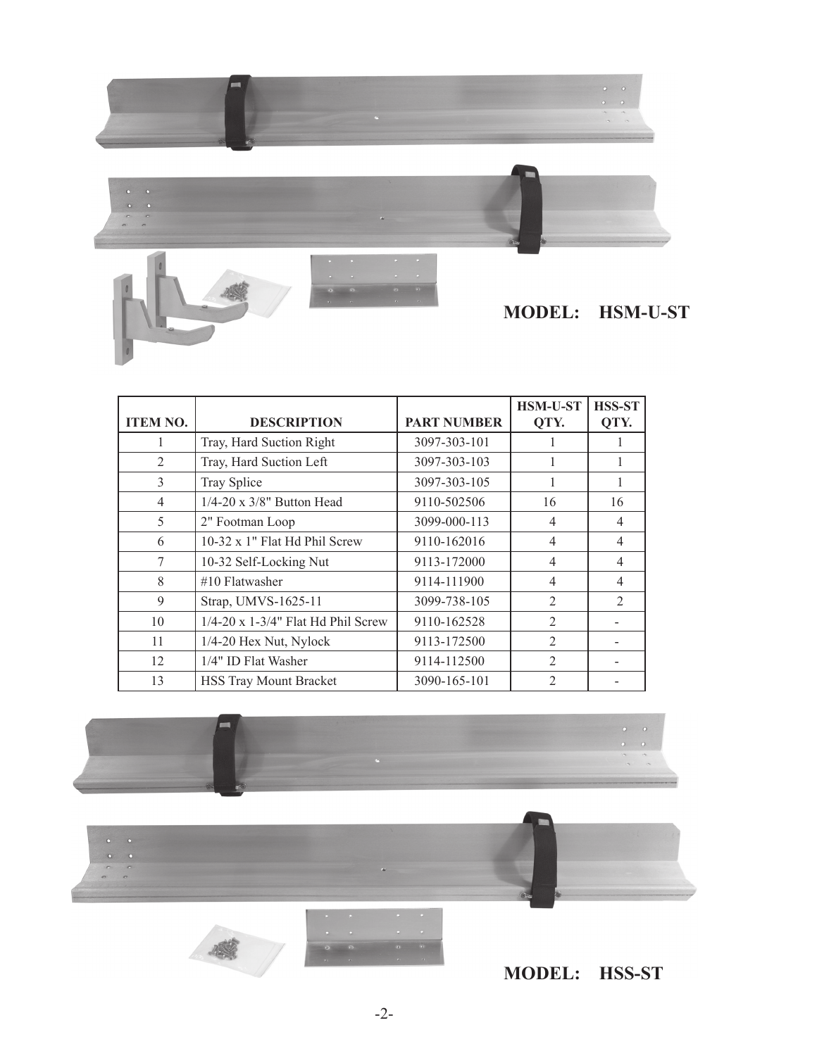

|                 |                                       |                    | <b>HSM-U-ST</b> | <b>HSS-ST</b>  |
|-----------------|---------------------------------------|--------------------|-----------------|----------------|
| <b>ITEM NO.</b> | <b>DESCRIPTION</b>                    | <b>PART NUMBER</b> | QTY.            | QTY.           |
|                 | Tray, Hard Suction Right              | 3097-303-101       |                 |                |
| $\overline{2}$  | Tray, Hard Suction Left               | 3097-303-103       |                 |                |
| 3               | Tray Splice                           | 3097-303-105       |                 |                |
| $\overline{4}$  | 1/4-20 x 3/8" Button Head             | 9110-502506        | 16              | 16             |
| 5               | 2" Footman Loop                       | 3099-000-113       | $\overline{4}$  | $\overline{4}$ |
| 6               | 10-32 x 1" Flat Hd Phil Screw         | 9110-162016        | $\overline{4}$  | $\overline{4}$ |
| $\tau$          | 10-32 Self-Locking Nut                | 9113-172000        | 4               | $\overline{4}$ |
| 8               | $#10$ Flatwasher                      | 9114-111900        | 4               | $\overline{4}$ |
| 9               | Strap, UMVS-1625-11                   | 3099-738-105       | $\overline{2}$  | $\overline{2}$ |
| 10              | $1/4$ -20 x 1-3/4" Flat Hd Phil Screw | 9110-162528        | $\overline{2}$  |                |
| 11              | $1/4-20$ Hex Nut, Nylock              | 9113-172500        | $\overline{2}$  |                |
| 12              | 1/4" ID Flat Washer                   | 9114-112500        | $\overline{2}$  |                |
| 13              | <b>HSS Tray Mount Bracket</b>         | 3090-165-101       | $\overline{2}$  |                |





**MODEL: HSS-ST**